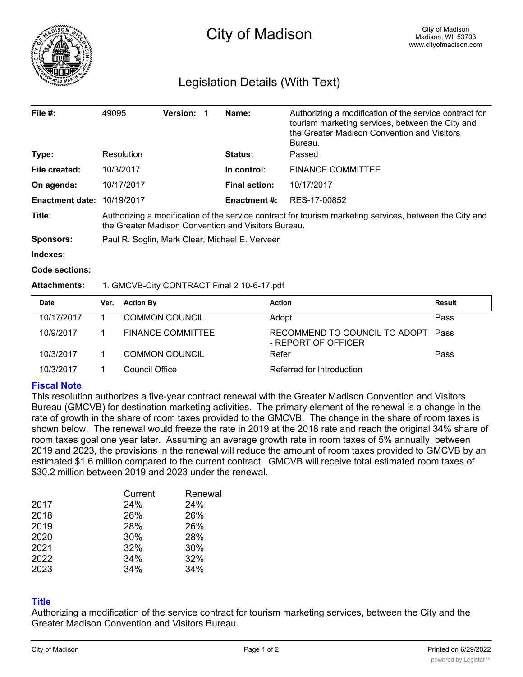

# Legislation Details (With Text)

| File $#$ :             | 49095                                                                                                                                                          | <b>Version:</b> |  | Name:                | Authorizing a modification of the service contract for<br>tourism marketing services, between the City and<br>the Greater Madison Convention and Visitors<br>Bureau. |
|------------------------|----------------------------------------------------------------------------------------------------------------------------------------------------------------|-----------------|--|----------------------|----------------------------------------------------------------------------------------------------------------------------------------------------------------------|
| Type:                  | Resolution                                                                                                                                                     |                 |  | <b>Status:</b>       | Passed                                                                                                                                                               |
| File created:          | 10/3/2017                                                                                                                                                      |                 |  | In control:          | <b>FINANCE COMMITTEE</b>                                                                                                                                             |
| On agenda:             | 10/17/2017                                                                                                                                                     |                 |  | <b>Final action:</b> | 10/17/2017                                                                                                                                                           |
| <b>Enactment date:</b> | 10/19/2017                                                                                                                                                     |                 |  | <b>Enactment #:</b>  | RES-17-00852                                                                                                                                                         |
| Title:                 | Authorizing a modification of the service contract for tourism marketing services, between the City and<br>the Greater Madison Convention and Visitors Bureau. |                 |  |                      |                                                                                                                                                                      |
| <b>Sponsors:</b>       | Paul R. Soglin, Mark Clear, Michael E. Verveer                                                                                                                 |                 |  |                      |                                                                                                                                                                      |

**Indexes:**

**Code sections:**

#### **Attachments:** 1. GMCVB-City CONTRACT Final 2 10-6-17.pdf

| <b>Date</b> | Ver. | <b>Action By</b>      | <b>Action</b>                                             | <b>Result</b> |
|-------------|------|-----------------------|-----------------------------------------------------------|---------------|
| 10/17/2017  |      | <b>COMMON COUNCIL</b> | Adopt                                                     | Pass          |
| 10/9/2017   |      | FINANCE COMMITTEE     | RECOMMEND TO COUNCIL TO ADOPT Pass<br>- REPORT OF OFFICER |               |
| 10/3/2017   |      | <b>COMMON COUNCIL</b> | Refer                                                     | Pass          |
| 10/3/2017   |      | Council Office        | Referred for Introduction                                 |               |

#### **Fiscal Note**

This resolution authorizes a five-year contract renewal with the Greater Madison Convention and Visitors Bureau (GMCVB) for destination marketing activities. The primary element of the renewal is a change in the rate of growth in the share of room taxes provided to the GMCVB. The change in the share of room taxes is shown below. The renewal would freeze the rate in 2019 at the 2018 rate and reach the original 34% share of room taxes goal one year later. Assuming an average growth rate in room taxes of 5% annually, between 2019 and 2023, the provisions in the renewal will reduce the amount of room taxes provided to GMCVB by an estimated \$1.6 million compared to the current contract. GMCVB will receive total estimated room taxes of \$30.2 million between 2019 and 2023 under the renewal.

|      | Current | Renewal |
|------|---------|---------|
| 2017 | 24%     | 24%     |
| 2018 | 26%     | 26%     |
| 2019 | 28%     | 26%     |
| 2020 | 30%     | 28%     |
| 2021 | 32%     | 30%     |
| 2022 | 34%     | 32%     |
| 2023 | 34%     | 34%     |

## **Title**

Authorizing a modification of the service contract for tourism marketing services, between the City and the Greater Madison Convention and Visitors Bureau.